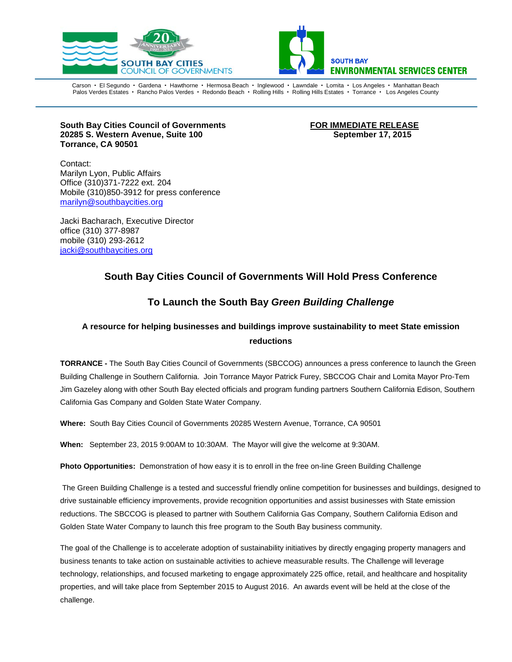



Carson • El Segundo • Gardena • Hawthorne • Hermosa Beach • Inglewood • Lawndale • Lomita • Los Angeles • Manhattan Beach Palos Verdes Estates · Rancho Palos Verdes · Redondo Beach · Rolling Hills · Rolling Hills Estates · Torrance · Los Angeles County

**South Bay Cities Council of Governments FOR IMMEDIATE RELEASE 20285 S. Western Avenue, Suite 100 September 17, 2015 Torrance, CA 90501**

Contact: Marilyn Lyon, Public Affairs Office (310)371-7222 ext. 204 Mobile (310)850-3912 for press conference [marilyn@southbaycities.org](mailto:marilyn@southbaycities.org)

Jacki Bacharach, Executive Director office (310) 377-8987 mobile (310) 293-2612 [jacki@southbaycities.org](mailto:marilyn@sbesc.com)

### **South Bay Cities Council of Governments Will Hold Press Conference**

## **To Launch the South Bay** *Green Building Challenge*

# **A resource for helping businesses and buildings improve sustainability to meet State emission reductions**

**TORRANCE -** The South Bay Cities Council of Governments (SBCCOG) announces a press conference to launch the Green Building Challenge in Southern California. Join Torrance Mayor Patrick Furey, SBCCOG Chair and Lomita Mayor Pro-Tem Jim Gazeley along with other South Bay elected officials and program funding partners Southern California Edison, Southern California Gas Company and Golden State Water Company.

**Where:** South Bay Cities Council of Governments 20285 Western Avenue, Torrance, CA 90501

**When:** September 23, 2015 9:00AM to 10:30AM. The Mayor will give the welcome at 9:30AM.

**Photo Opportunities:** Demonstration of how easy it is to enroll in the free on-line Green Building Challenge

The Green Building Challenge is a tested and successful friendly online competition for businesses and buildings, designed to drive sustainable efficiency improvements, provide recognition opportunities and assist businesses with State emission reductions. The SBCCOG is pleased to partner with Southern California Gas Company, Southern California Edison and Golden State Water Company to launch this free program to the South Bay business community.

The goal of the Challenge is to accelerate adoption of sustainability initiatives by directly engaging property managers and business tenants to take action on sustainable activities to achieve measurable results. The Challenge will leverage technology, relationships, and focused marketing to engage approximately 225 office, retail, and healthcare and hospitality properties, and will take place from September 2015 to August 2016. An awards event will be held at the close of the challenge.